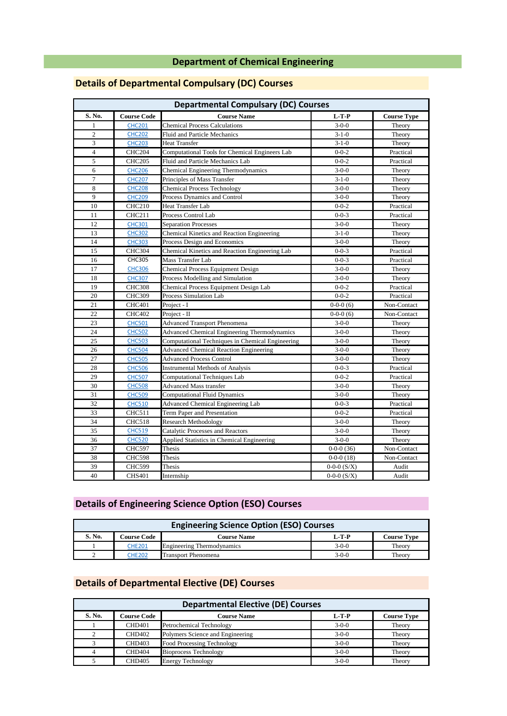#### **Department of Chemical Engineering**

| <b>Departmental Compulsary (DC) Courses</b> |                    |                                                     |                 |                    |
|---------------------------------------------|--------------------|-----------------------------------------------------|-----------------|--------------------|
| S. No.                                      | <b>Course Code</b> | <b>Course Name</b>                                  | $L-T-P$         | <b>Course Type</b> |
| $\mathbf{1}$                                | <b>CHC201</b>      | <b>Chemical Process Calculations</b>                | $3-0-0$         | Theory             |
| $\overline{2}$                              | <b>CHC202</b>      | <b>Fluid and Particle Mechanics</b>                 | $3 - 1 - 0$     | Theory             |
| 3                                           | <b>CHC203</b>      | <b>Heat Transfer</b>                                | $3 - 1 - 0$     | Theory             |
| $\overline{4}$                              | <b>CHC204</b>      | Computational Tools for Chemical Engineers Lab      | $0 - 0 - 2$     | Practical          |
| 5                                           | <b>CHC205</b>      | Fluid and Particle Mechanics Lab                    | $0 - 0 - 2$     | Practical          |
| 6                                           | <b>CHC206</b>      | Chemical Engineering Thermodynamics                 | $3-0-0$         | Theory             |
| $\tau$                                      | <b>CHC207</b>      | Principles of Mass Transfer                         | $3 - 1 - 0$     | Theory             |
| 8                                           | <b>CHC208</b>      | <b>Chemical Process Technology</b>                  | $3-0-0$         | Theory             |
| 9                                           | <b>CHC209</b>      | Process Dynamics and Control                        | $3-0-0$         | Theory             |
| 10                                          | <b>CHC210</b>      | <b>Heat Transfer Lab</b>                            | $0 - 0 - 2$     | Practical          |
| 11                                          | <b>CHC211</b>      | Process Control Lab                                 | $0 - 0 - 3$     | Practical          |
| 12                                          | <b>CHC301</b>      | <b>Separation Processes</b>                         | $3-0-0$         | Theory             |
| 13                                          | <b>CHC302</b>      | Chemical Kinetics and Reaction Engineering          | $3-1-0$         | Theory             |
| 14                                          | <b>CHC303</b>      | Process Design and Economics                        | $3-0-0$         | Theory             |
| 15                                          | <b>CHC304</b>      | Chemical Kinetics and Reaction Engineering Lab      | $0 - 0 - 3$     | Practical          |
| 16                                          | <b>CHC305</b>      | Mass Transfer Lab                                   | $0 - 0 - 3$     | Practical          |
| 17                                          | <b>CHC306</b>      | Chemical Process Equipment Design                   | $3-0-0$         | Theory             |
| 18                                          | <b>CHC307</b>      | Process Modelling and Simulation                    | $3-0-0$         | Theory             |
| 19                                          | <b>CHC308</b>      | Chemical Process Equipment Design Lab               | $0 - 0 - 2$     | Practical          |
| 20                                          | <b>CHC309</b>      | <b>Process Simulation Lab</b>                       | $0 - 0 - 2$     | Practical          |
| 21                                          | <b>CHC401</b>      | Project - I                                         | $0-0-0(6)$      | Non-Contact        |
| 22                                          | <b>CHC402</b>      | Project - II                                        | $0-0-0(6)$      | Non-Contact        |
| 23                                          | <b>CHC501</b>      | <b>Advanced Transport Phenomena</b>                 | $3-0-0$         | Theory             |
| 24                                          | <b>CHC502</b>      | <b>Advanced Chemical Engineering Thermodynamics</b> | $3-0-0$         | Theory             |
| 25                                          | <b>CHC503</b>      | Computational Techniques in Chemical Engineering    | $3-0-0$         | Theory             |
| 26                                          | <b>CHC504</b>      | <b>Advanced Chemical Reaction Engineering</b>       | $3-0-0$         | Theory             |
| 27                                          | <b>CHC505</b>      | <b>Advanced Process Control</b>                     | $3-0-0$         | Theory             |
| 28                                          | <b>CHC506</b>      | <b>Instrumental Methods of Analysis</b>             | $0 - 0 - 3$     | Practical          |
| 29                                          | <b>CHC507</b>      | <b>Computational Techniques Lab</b>                 | $0 - 0 - 2$     | Practical          |
| 30                                          | <b>CHC508</b>      | <b>Advanced Mass transfer</b>                       | $3-0-0$         | Theory             |
| 31                                          | <b>CHC509</b>      | <b>Computational Fluid Dynamics</b>                 | $3-0-0$         | Theory             |
| 32                                          | <b>CHC510</b>      | <b>Advanced Chemical Engineering Lab</b>            | $0 - 0 - 3$     | Practical          |
| 33                                          | <b>CHC511</b>      | Term Paper and Presentation                         | $0 - 0 - 2$     | Practical          |
| 34                                          | <b>CHC518</b>      | <b>Research Methodology</b>                         | $3-0-0$         | Theory             |
| 35                                          | <b>CHC519</b>      | Catalytic Processes and Reactors                    | $3-0-0$         | Theory             |
| 36                                          | <b>CHC520</b>      | Applied Statistics in Chemical Engineering          | $3-0-0$         | Theory             |
| 37                                          | <b>CHC597</b>      | Thesis                                              | $0-0-0(36)$     | Non-Contact        |
| 38                                          | <b>CHC598</b>      | Thesis                                              | $0-0-0(18)$     | Non-Contact        |
| 39                                          | <b>CHC599</b>      | Thesis                                              | $0-0-0$ $(S/X)$ | Audit              |
| 40                                          | <b>CHS401</b>      | Internship                                          | $0-0-0$ $(S/X)$ | Audit              |

## **Details of Departmental Compulsary (DC) Courses**

## **Details of Engineering Science Option (ESO) Courses**

| <b>Engineering Science Option (ESO) Courses</b> |                    |                                   |         |                    |
|-------------------------------------------------|--------------------|-----------------------------------|---------|--------------------|
| S. No.                                          | <b>Course Code</b> | <b>Course Name</b>                | L-T-P   | <b>Course Type</b> |
|                                                 | CHE201             | <b>Engineering Thermodynamics</b> | $3-0-0$ | Theory             |
|                                                 | CHE202             | Transport Phenomena               | $3-0-0$ | Theory             |

#### **Details of Departmental Elective (DE) Courses**

| <b>Departmental Elective (DE) Courses</b> |                    |                                  |         |                    |
|-------------------------------------------|--------------------|----------------------------------|---------|--------------------|
| S. No.                                    | <b>Course Code</b> | <b>Course Name</b>               | $L-T-P$ | <b>Course Type</b> |
|                                           | <b>CHD401</b>      | Petrochemical Technology         | $3-0-0$ | Theory             |
|                                           | <b>CHD402</b>      | Polymers Science and Engineering | $3-0-0$ | Theory             |
|                                           | <b>CHD403</b>      | Food Processing Technology       | $3-0-0$ | Theory             |
|                                           | CHD <sub>404</sub> | <b>Bioprocess Technology</b>     | $3-0-0$ | Theory             |
|                                           | <b>CHD405</b>      | <b>Energy Technology</b>         | $3-0-0$ | Theory             |